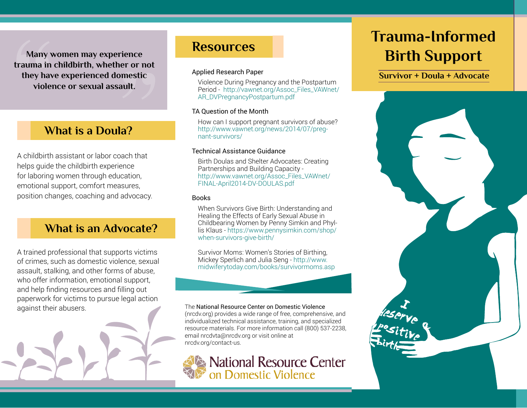**Many women may experience**<br>**trauma in childbirth, whether or not** ience<br>er or not<br>mestic<br>ult. **Many women may experience they have experienced domestic violence or sexual assault.**

# **What is a Doula?**

A childbirth assistant or labor coach that helps guide the childbirth experience for laboring women through education, emotional support, comfort measures, position changes, coaching and advocacy.

# **What is an Advocate?**

A trained professional that supports victims of crimes, such as domestic violence, sexual assault, stalking, and other forms of abuse, who offer information, emotional support, and help finding resources and filling out paperwork for victims to pursue legal action against their abusers.



# **Resources**

### Applied Research Paper

Violence During Pregnancy and the Postpartum Period - [http://vawnet.org/Assoc\\_Files\\_VAWnet/](http://vawnet.org/Assoc_Files_VAWnet/AR_DVPregnancyPostpartum.pdf) [AR\\_DVPregnancyPostpartum.pdf](http://vawnet.org/Assoc_Files_VAWnet/AR_DVPregnancyPostpartum.pdf)

### TA Question of the Month

How can I support pregnant survivors of abuse? [http://www.vawnet.org/news/2014/07/preg](http://www.vawnet.org/news/2014/07/pregnant-survivors/%20)[nant-survivors/](http://www.vawnet.org/news/2014/07/pregnant-survivors/%20) 

### Technical Assistance Guidance

Birth Doulas and Shelter Advocates: Creating Partnerships and Building Capacity [http://www.vawnet.org/Assoc\\_Files\\_VAWnet/](http://www.vawnet.org/Assoc_Files_VAWnet/FINAL-April2014-DV-DOULAS.pdf) [FINAL-April2014-DV-DOULAS.pdf](http://www.vawnet.org/Assoc_Files_VAWnet/FINAL-April2014-DV-DOULAS.pdf)

### **Books**

When Survivors Give Birth: Understanding and Healing the Effects of Early Sexual Abuse in Childbearing Women by Penny Simkin and Phyllis Klaus - [https://www.pennysimkin.com/shop/](https://www.pennysimkin.com/shop/when-survivors-give-birth/%20%20) [when-survivors-give-birth/](https://www.pennysimkin.com/shop/when-survivors-give-birth/%20%20) 

Survivor Moms: Women's Stories of Birthing, Mickey Sperlich and Julia Seng - [http://www.](http://www.midwiferytoday.com/books/survivormoms.asp) [midwiferytoday.com/books/survivormoms.asp](http://www.midwiferytoday.com/books/survivormoms.asp)

#### The National Resource Center on Domestic Violence

(nrcdv.org) provides a wide range of free, comprehensive, and individualized technical assistance, training, and specialized resource materials. For more information call (800) 537-2238, email [nrcdvta@nrcdv.org](mailto:nrcdvta%40nrcdv.org?subject=TA%20Request%3A%20Birth%20Support) or visit online at [nrcdv.org/contact-us](http://www.nrcdv.org/contact-us/).

**National Resource Center<br>on Domestic Violence** 

# **Trauma-Informed Birth Support**

**Survivor + Doula + Advocate**